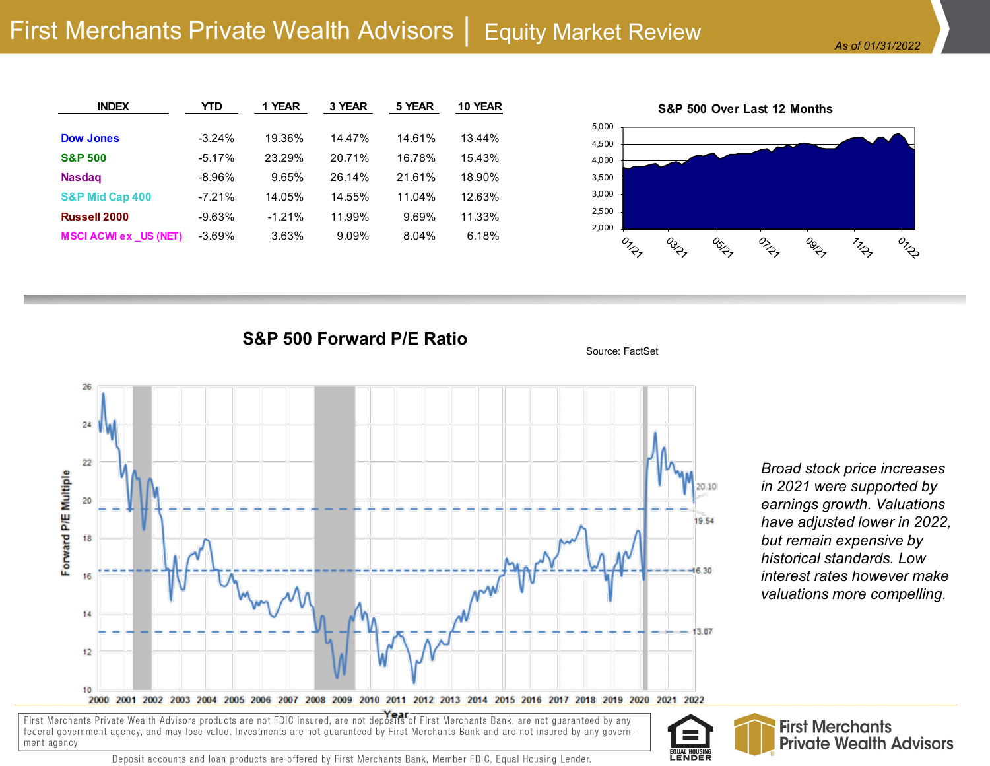| <b>INDEX</b>                 | YTD      | 1 YEAR   | 3 YEAR | 5 YEAR | 10 YEAR |
|------------------------------|----------|----------|--------|--------|---------|
|                              |          |          |        |        |         |
| <b>Dow Jones</b>             | $-3.24%$ | 19.36%   | 14.47% | 14.61% | 13.44%  |
| <b>S&amp;P 500</b>           | $-5.17%$ | 23.29%   | 20.71% | 16.78% | 15.43%  |
| <b>Nasdag</b>                | $-8.96%$ | 9.65%    | 26.14% | 21.61% | 18.90%  |
| S&P Mid Cap 400              | $-7.21%$ | 14.05%   | 14.55% | 11.04% | 12.63%  |
| <b>Russell 2000</b>          | $-9.63%$ | $-1.21%$ | 11.99% | 9.69%  | 11.33%  |
| <b>MSCI ACWI ex US (NET)</b> | $-3.69%$ | 3.63%    | 9.09%  | 8.04%  | 6.18%   |



**S&P 500 Forward P/E Ratio**



*Broad stock price increases in 2021 were supported by earnings growth. Valuations have adjusted lower in 2022, but remain expensive by historical standards. Low interest rates however make valuations more compelling.*

First Merchants Private Wealth Advisors products are not FDIC insured, are not deposits of First Merchants Bank, are not guaranteed by any federal government agency, and may lose value. Investments are not guaranteed by First Merchants Bank and are not insured by any government agency.



Source: FactSet

Deposit accounts and loan products are offered by First Merchants Bank, Member FDIC, Equal Housing Lender.